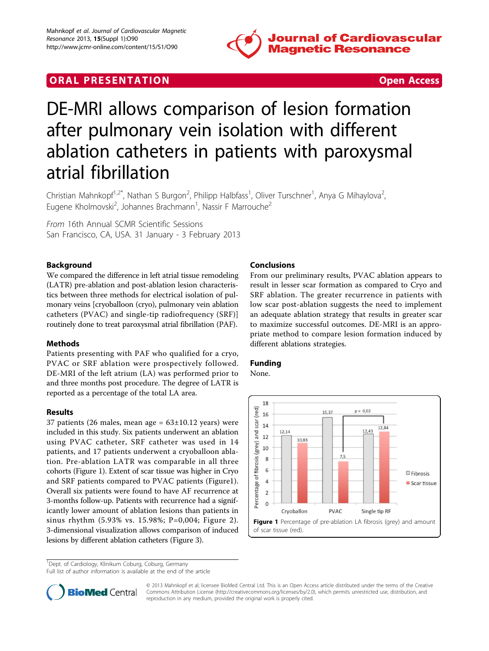

# **ORAL PRESENTATION CONSUMING ACCESS**



# DE-MRI allows comparison of lesion formation after pulmonary vein isolation with different ablation catheters in patients with paroxysmal atrial fibrillation

Christian Mahnkopf<sup>1,2\*</sup>, Nathan S Burgon<sup>2</sup>, Philipp Halbfass<sup>1</sup>, Oliver Turschner<sup>1</sup>, Anya G Mihaylova<sup>2</sup> , Eugene Kholmovski<sup>2</sup>, Johannes Brachmann<sup>1</sup>, Nassir F Marrouche<sup>2</sup>

From 16th Annual SCMR Scientific Sessions San Francisco, CA, USA. 31 January - 3 February 2013

### Background

We compared the difference in left atrial tissue remodeling (LATR) pre-ablation and post-ablation lesion characteristics between three methods for electrical isolation of pulmonary veins [cryoballoon (cryo), pulmonary vein ablation catheters (PVAC) and single-tip radiofrequency (SRF)] routinely done to treat paroxysmal atrial fibrillation (PAF).

### Methods

Patients presenting with PAF who qualified for a cryo, PVAC or SRF ablation were prospectively followed. DE-MRI of the left atrium (LA) was performed prior to and three months post procedure. The degree of LATR is reported as a percentage of the total LA area.

### Results

37 patients (26 males, mean age =  $63\pm10.12$  years) were included in this study. Six patients underwent an ablation using PVAC catheter, SRF catheter was used in 14 patients, and 17 patients underwent a cryoballoon ablation. Pre-ablation LATR was comparable in all three cohorts (Figure 1). Extent of scar tissue was higher in Cryo and SRF patients compared to PVAC patients (Figure1). Overall six patients were found to have AF recurrence at 3-months follow-up. Patients with recurrence had a significantly lower amount of ablation lesions than patients in sinus rhythm (5.93% vs. 15.98%; P=0,004; Figure [2\)](#page-1-0). 3-dimensional visualization allows comparison of induced lesions by different ablation catheters (Figure [3\)](#page-1-0).

## Conclusions

From our preliminary results, PVAC ablation appears to result in lesser scar formation as compared to Cryo and SRF ablation. The greater recurrence in patients with low scar post-ablation suggests the need to implement an adequate ablation strategy that results in greater scar to maximize successful outcomes. DE-MRI is an appropriate method to compare lesion formation induced by different ablations strategies.

### Funding

None.



<sup>1</sup>Dept. of Cardiology, Klinikum Coburg, Coburg, Germany

Full list of author information is available at the end of the article



© 2013 Mahnkopf et al; licensee BioMed Central Ltd. This is an Open Access article distributed under the terms of the Creative Commons Attribution License [\(http://creativecommons.org/licenses/by/2.0](http://creativecommons.org/licenses/by/2.0)), which permits unrestricted use, distribution, and reproduction in any medium, provided the original work is properly cited.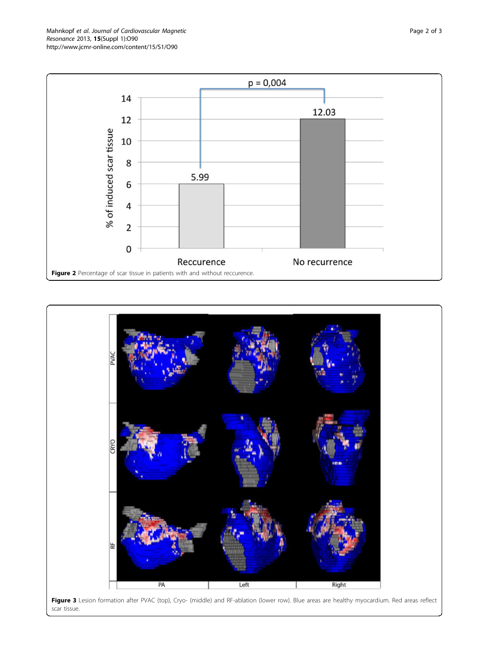<span id="page-1-0"></span>